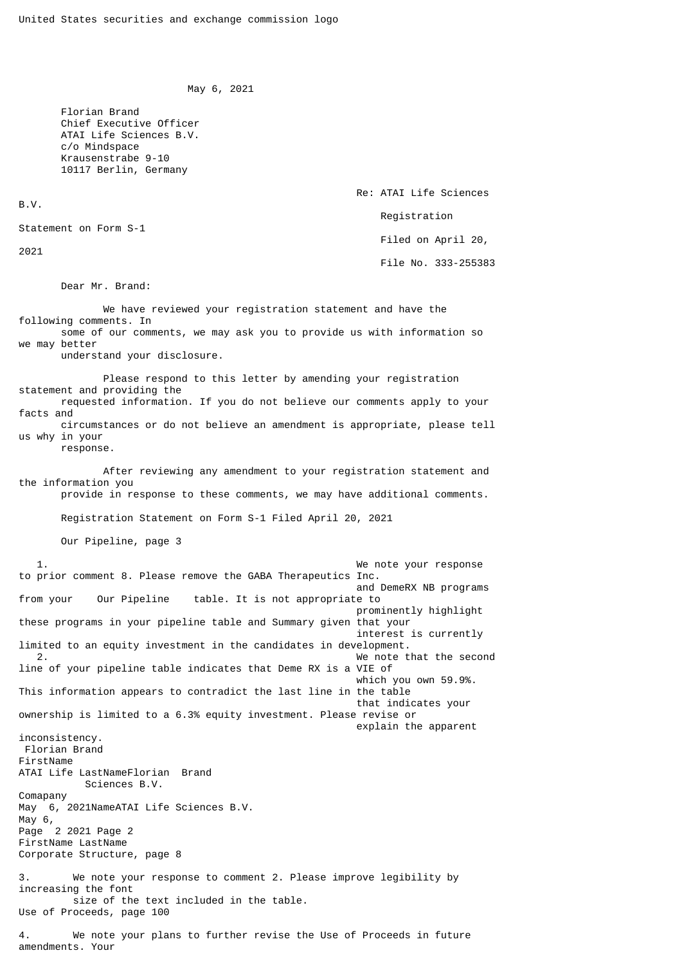```
 May 6, 2021
```
 Florian Brand Chief Executive Officer ATAI Life Sciences B.V. c/o Mindspace Krausenstrabe 9-10 10117 Berlin, Germany

B.V.

Statement on Form S-1

2021

Dear Mr. Brand:

 We have reviewed your registration statement and have the following comments. In some of our comments, we may ask you to provide us with information so we may better understand your disclosure. Please respond to this letter by amending your registration statement and providing the requested information. If you do not believe our comments apply to your facts and circumstances or do not believe an amendment is appropriate, please tell

Re: ATAI Life Sciences

Filed on April 20,

File No. 333-255383

Registration

us why in your response.

 After reviewing any amendment to your registration statement and the information you provide in response to these comments, we may have additional comments.

1. We note your response

Registration Statement on Form S-1 Filed April 20, 2021

Our Pipeline, page 3

to prior comment 8. Please remove the GABA Therapeutics Inc. and DemeRX NB programs<br>from your our Pipeline table. It is not appropriate to table. It is not appropriate to prominently highlight these programs in your pipeline table and Summary given that your interest is currently limited to an equity investment in the candidates in development. 2. We note that the second line of your pipeline table indicates that Deme RX is a VIE of which you own 59.9%. This information appears to contradict the last line in the table that indicates your ownership is limited to a 6.3% equity investment. Please revise or explain the apparent inconsistency. Florian Brand FirstName ATAI Life LastNameFlorian Brand Sciences B.V. Comapany May 6, 2021NameATAI Life Sciences B.V. May 6, Page 2 2021 Page 2 FirstName LastName Corporate Structure, page 8 3. We note your response to comment 2. Please improve legibility by increasing the font size of the text included in the table. Use of Proceeds, page 100

4. We note your plans to further revise the Use of Proceeds in future amendments. Your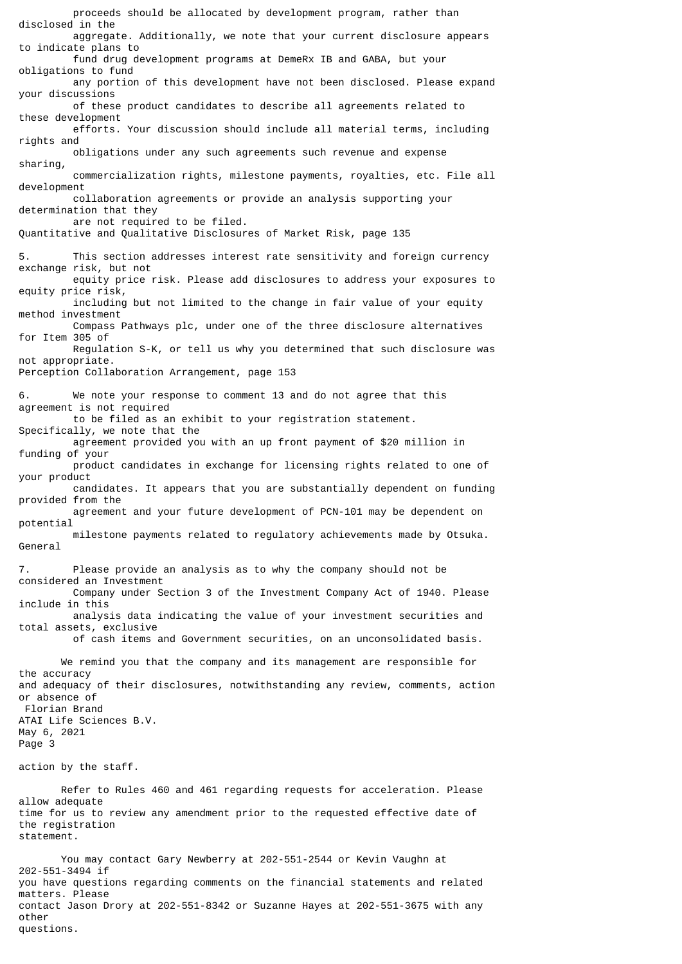proceeds should be allocated by development program, rather than disclosed in the aggregate. Additionally, we note that your current disclosure appears to indicate plans to fund drug development programs at DemeRx IB and GABA, but your obligations to fund any portion of this development have not been disclosed. Please expand your discussions of these product candidates to describe all agreements related to these development efforts. Your discussion should include all material terms, including rights and obligations under any such agreements such revenue and expense sharing, commercialization rights, milestone payments, royalties, etc. File all development collaboration agreements or provide an analysis supporting your determination that they are not required to be filed. Quantitative and Qualitative Disclosures of Market Risk, page 135 This section addresses interest rate sensitivity and foreign currency exchange risk, but not equity price risk. Please add disclosures to address your exposures to equity price risk, including but not limited to the change in fair value of your equity method investment Compass Pathways plc, under one of the three disclosure alternatives for Item 305 of Regulation S-K, or tell us why you determined that such disclosure was not appropriate. Perception Collaboration Arrangement, page 153 6. We note your response to comment 13 and do not agree that this agreement is not required to be filed as an exhibit to your registration statement. Specifically, we note that the agreement provided you with an up front payment of \$20 million in funding of your product candidates in exchange for licensing rights related to one of your product candidates. It appears that you are substantially dependent on funding provided from the agreement and your future development of PCN-101 may be dependent on potential milestone payments related to regulatory achievements made by Otsuka. General 7. Please provide an analysis as to why the company should not be considered an Investment Company under Section 3 of the Investment Company Act of 1940. Please include in this analysis data indicating the value of your investment securities and total assets, exclusive of cash items and Government securities, on an unconsolidated basis. We remind you that the company and its management are responsible for the accuracy and adequacy of their disclosures, notwithstanding any review, comments, action or absence of Florian Brand ATAI Life Sciences B.V. May 6, 2021 Page 3 action by the staff. Refer to Rules 460 and 461 regarding requests for acceleration. Please allow adequate time for us to review any amendment prior to the requested effective date of the registration statement. You may contact Gary Newberry at 202-551-2544 or Kevin Vaughn at 202-551-3494 if you have questions regarding comments on the financial statements and related matters. Please

contact Jason Drory at 202-551-8342 or Suzanne Hayes at 202-551-3675 with any other questions.